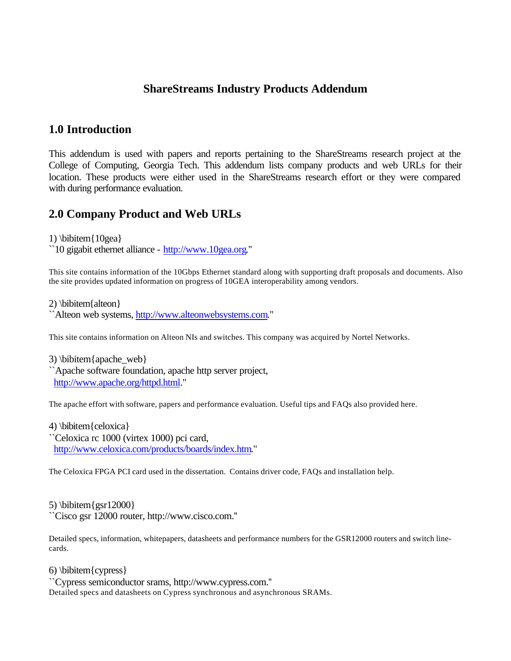## **ShareStreams Industry Products Addendum**

## **1.0 Introduction**

This addendum is used with papers and reports pertaining to the ShareStreams research project at the College of Computing, Georgia Tech. This addendum lists company products and web URLs for their location. These products were either used in the ShareStreams research effort or they were compared with during performance evaluation.

## **2.0 Company Product and Web URLs**

1) \bibitem{10gea}

``10 gigabit ethernet alliance - http://www.10gea.org.''

This site contains information of the 10Gbps Ethernet standard along with supporting draft proposals and documents. Also the site provides updated information on progress of 10GEA interoperability among vendors.

2) \bibitem{alteon} ``Alteon web systems, http://www.alteonwebsystems.com.''

This site contains information on Alteon NIs and switches. This company was acquired by Nortel Networks.

 $3)$  \bibitem{apache web} ``Apache software foundation, apache http server project, http://www.apache.org/httpd.html.''

The apache effort with software, papers and performance evaluation. Useful tips and FAQs also provided here.

4) \bibitem{celoxica} ``Celoxica rc 1000 (virtex 1000) pci card, http://www.celoxica.com/products/boards/index.htm.''

The Celoxica FPGA PCI card used in the dissertation. Contains driver code, FAQs and installation help.

5) \bibitem{gsr12000} ``Cisco gsr 12000 router, http://www.cisco.com.''

Detailed specs, information, whitepapers, datasheets and performance numbers for the GSR12000 routers and switch linecards.

6) \bibitem{cypress}

``Cypress semiconductor srams, http://www.cypress.com.'' Detailed specs and datasheets on Cypress synchronous and asynchronous SRAMs.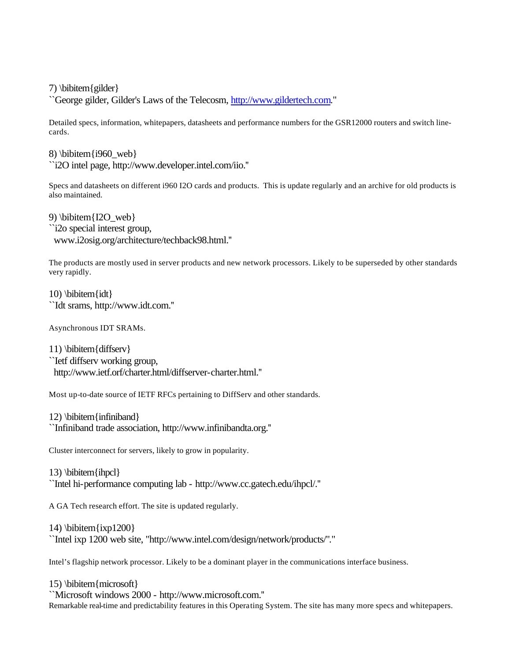7) \bibitem{gilder}

``George gilder, Gilder's Laws of the Telecosm, http://www.gildertech.com.''

Detailed specs, information, whitepapers, datasheets and performance numbers for the GSR12000 routers and switch linecards.

8) \bibitem $\{i960$  web} ``i2O intel page, http://www.developer.intel.com/iio.''

Specs and datasheets on different i960 I2O cards and products. This is update regularly and an archive for old products is also maintained.

9) \bibitem{I2O\_web} ``i2o special interest group, www.i2osig.org/architecture/techback98.html.''

The products are mostly used in server products and new network processors. Likely to be superseded by other standards very rapidly.

10)  $\b{$ ``Idt srams, http://www.idt.com.''

Asynchronous IDT SRAMs.

11) \bibitem{diffserv} ``Ietf diffserv working group, http://www.ietf.orf/charter.html/diffserver-charter.html.''

Most up-to-date source of IETF RFCs pertaining to DiffServ and other standards.

12) \bibitem{infiniband} ``Infiniband trade association, http://www.infinibandta.org.''

Cluster interconnect for servers, likely to grow in popularity.

13) \bibitem{ihpcl} ``Intel hi-performance computing lab - http://www.cc.gatech.edu/ihpcl/.''

A GA Tech research effort. The site is updated regularly.

14)  $\bi{ixp1200}$ ``Intel ixp 1200 web site, "http://www.intel.com/design/network/products/".''

Intel's flagship network processor. Likely to be a dominant player in the communications interface business.

15) \bibitem{microsoft} ``Microsoft windows 2000 - http://www.microsoft.com.'' Remarkable real-time and predictability features in this Operating System. The site has many more specs and whitepapers.